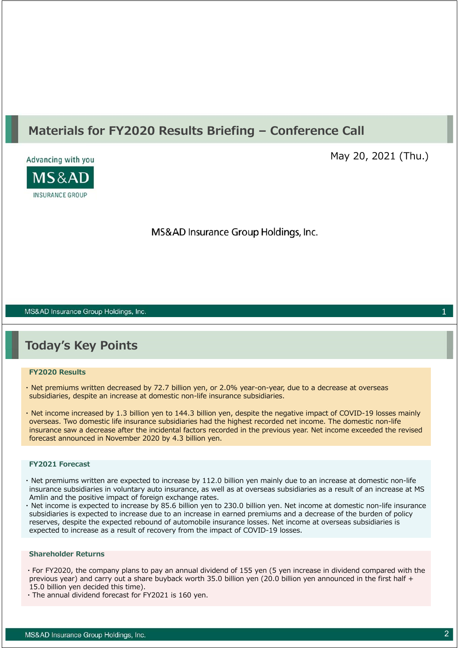# **Materials for FY2020 Results Briefing – Conference Call**



May 20, 2021 (Thu.)

MS&AD Insurance Group Holdings, Inc.

MS&AD Insurance Group Holdings, Inc.

# **Today's Key Points**

#### **FY2020 Results**

- ・ Net premiums written decreased by 72.7 billion yen, or 2.0% year-on-year, due to a decrease at overseas subsidiaries, despite an increase at domestic non-life insurance subsidiaries.
- ・ Net income increased by 1.3 billion yen to 144.3 billion yen, despite the negative impact of COVID-19 losses mainly overseas. Two domestic life insurance subsidiaries had the highest recorded net income. The domestic non-life insurance saw a decrease after the incidental factors recorded in the previous year. Net income exceeded the revised forecast announced in November 2020 by 4.3 billion yen.

#### **FY2021 Forecast**

- ・ Net premiums written are expected to increase by 112.0 billion yen mainly due to an increase at domestic non-life insurance subsidiaries in voluntary auto insurance, as well as at overseas subsidiaries as a result of an increase at MS Amlin and the positive impact of foreign exchange rates.
- ・ Net income is expected to increase by 85.6 billion yen to 230.0 billion yen. Net income at domestic non-life insurance subsidiaries is expected to increase due to an increase in earned premiums and a decrease of the burden of policy reserves, despite the expected rebound of automobile insurance losses. Net income at overseas subsidiaries is expected to increase as a result of recovery from the impact of COVID-19 losses.

#### **Shareholder Returns**

- ・For FY2020, the company plans to pay an annual dividend of 155 yen (5 yen increase in dividend compared with the previous year) and carry out a share buyback worth 35.0 billion yen (20.0 billion yen announced in the first half + 15.0 billion yen decided this time).
- ・The annual dividend forecast for FY2021 is 160 yen.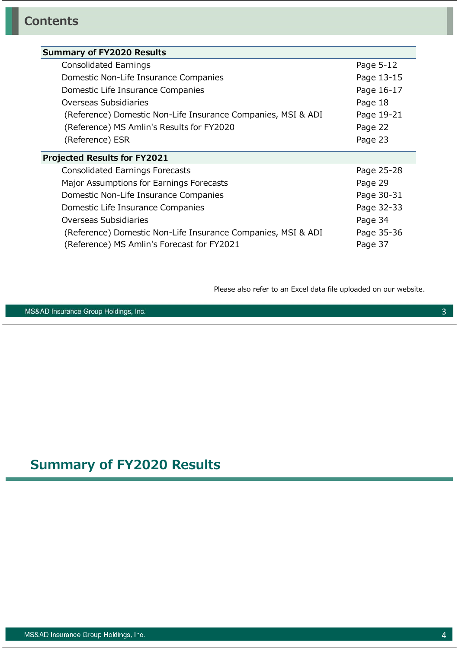### **Summary of FY2020 Results**

| <b>Consolidated Earnings</b>                                 | Page 5-12  |
|--------------------------------------------------------------|------------|
| Domestic Non-Life Insurance Companies                        | Page 13-15 |
| Domestic Life Insurance Companies                            | Page 16-17 |
| Overseas Subsidiaries                                        | Page 18    |
| (Reference) Domestic Non-Life Insurance Companies, MSI & ADI | Page 19-21 |
| (Reference) MS Amlin's Results for FY2020                    | Page 22    |
| (Reference) ESR                                              | Page 23    |
|                                                              |            |

### **Projected Results for FY2021**

| <b>Consolidated Earnings Forecasts</b>                       | Page 25-28 |
|--------------------------------------------------------------|------------|
| Major Assumptions for Earnings Forecasts                     | Page 29    |
| Domestic Non-Life Insurance Companies                        | Page 30-31 |
| Domestic Life Insurance Companies                            | Page 32-33 |
| Overseas Subsidiaries                                        | Page 34    |
| (Reference) Domestic Non-Life Insurance Companies, MSI & ADI | Page 35-36 |
| (Reference) MS Amlin's Forecast for FY2021                   | Page 37    |

Please also refer to an Excel data file uploaded on our website.

MS&AD Insurance Group Holdings, Inc.

# **Summary of FY2020 Results**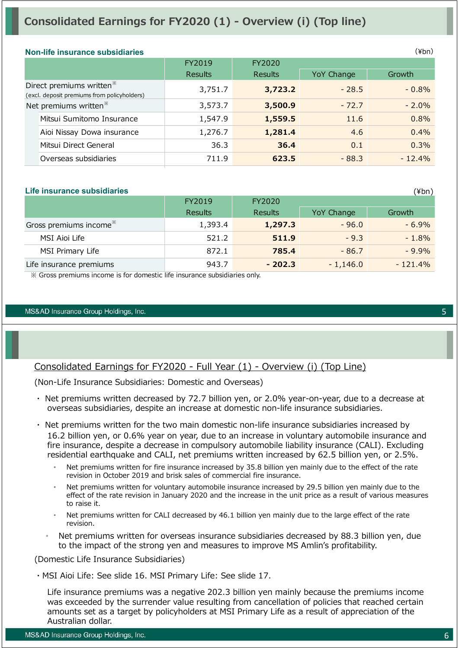# **Consolidated Earnings for FY2020 (1) - Overview (i) (Top line)**

#### **Non-life insurance subsidiaries**

|                                   | <u>NUIFING INSURANCE SUDSIGNIES</u>                                                 |                |                |            | 1 <b>.</b> <i>.</i> |
|-----------------------------------|-------------------------------------------------------------------------------------|----------------|----------------|------------|---------------------|
|                                   |                                                                                     | FY2019         | FY2020         |            |                     |
|                                   |                                                                                     | <b>Results</b> | <b>Results</b> | YoY Change | Growth              |
|                                   | Direct premiums written <sup>*</sup><br>(excl. deposit premiums from policyholders) | 3,751.7        | 3,723.2        | $-28.5$    | $-0.8%$             |
| Net premiums written <sup>*</sup> |                                                                                     | 3,573.7        | 3,500.9        | $-72.7$    | $-2.0%$             |
|                                   | Mitsui Sumitomo Insurance                                                           | 1,547.9        | 1,559.5        | 11.6       | 0.8%                |
|                                   | Aioi Nissay Dowa insurance                                                          | 1,276.7        | 1,281.4        | 4.6        | 0.4%                |
|                                   | Mitsui Direct General                                                               | 36.3           | 36.4           | 0.1        | 0.3%                |
|                                   | Overseas subsidiaries                                                               | 711.9          | 623.5          | $-88.3$    | $-12.4%$            |

#### **Life insurance subsidiaries**

|                                    | FY2019         | FY2020         |            |           |
|------------------------------------|----------------|----------------|------------|-----------|
|                                    | <b>Results</b> | <b>Results</b> | YoY Change | Growth    |
| Gross premiums income <sup>*</sup> | 1,393.4        | 1,297.3        | $-96.0$    | $-6.9\%$  |
| MSI Aioi Life                      | 521.2          | 511.9          | $-9.3$     | $-1.8%$   |
| MSI Primary Life                   | 872.1          | 785.4          | $-86.7$    | $-9.9\%$  |
| Life insurance premiums            | 943.7          | $-202.3$       | $-1,146.0$ | $-121.4%$ |

※ Gross premiums income is for domestic life insurance subsidiaries only.

#### MS&AD Insurance Group Holdings, Inc.

### Consolidated Earnings for FY2020 - Full Year (1) - Overview (i) (Top Line)

(Non-Life Insurance Subsidiaries: Domestic and Overseas)

- ・ Net premiums written decreased by 72.7 billion yen, or 2.0% year-on-year, due to a decrease at overseas subsidiaries, despite an increase at domestic non-life insurance subsidiaries.
- ・ Net premiums written for the two main domestic non-life insurance subsidiaries increased by 16.2 billion yen, or 0.6% year on year, due to an increase in voluntary automobile insurance and fire insurance, despite a decrease in compulsory automobile liability insurance (CALI). Excluding residential earthquake and CALI, net premiums written increased by 62.5 billion yen, or 2.5%.
	- Net premiums written for fire insurance increased by 35.8 billion yen mainly due to the effect of the rate revision in October 2019 and brisk sales of commercial fire insurance.
	- Net premiums written for voluntary automobile insurance increased by 29.5 billion yen mainly due to the effect of the rate revision in January 2020 and the increase in the unit price as a result of various measures to raise it.
	- Net premiums written for CALI decreased by 46.1 billion yen mainly due to the large effect of the rate revision.
	- Net premiums written for overseas insurance subsidiaries decreased by 88.3 billion yen, due to the impact of the strong yen and measures to improve MS Amlin's profitability.

(Domestic Life Insurance Subsidiaries)

・MSI Aioi Life: See slide 16. MSI Primary Life: See slide 17.

Life insurance premiums was a negative 202.3 billion yen mainly because the premiums income was exceeded by the surrender value resulting from cancellation of policies that reached certain amounts set as a target by policyholders at MSI Primary Life as a result of appreciation of the Australian dollar.

5

 $(yhn)$ 

 $(\nPsi$ bn)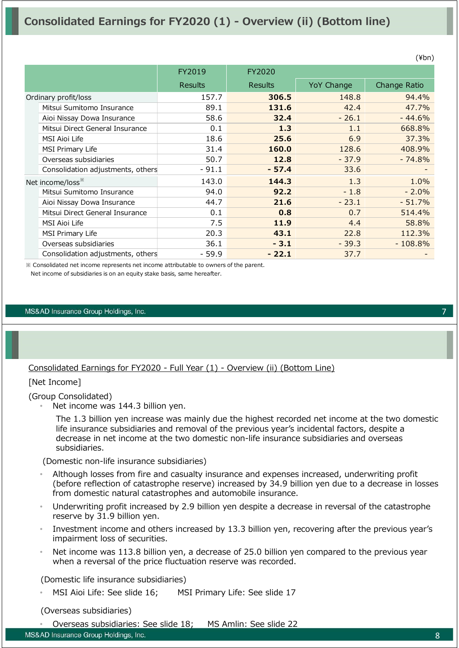# **Consolidated Earnings for FY2020 (1) - Overview (ii) (Bottom line)**

|                                   | FY2019         | FY2020         |            |              |
|-----------------------------------|----------------|----------------|------------|--------------|
|                                   | <b>Results</b> | <b>Results</b> | YoY Change | Change Ratio |
| Ordinary profit/loss              | 157.7          | 306.5          | 148.8      | 94.4%        |
| Mitsui Sumitomo Insurance         | 89.1           | 131.6          | 42.4       | 47.7%        |
| Aioi Nissay Dowa Insurance        | 58.6           | 32.4           | $-26.1$    | $-44.6%$     |
| Mitsui Direct General Insurance   | 0.1            | 1.3            | 1.1        | 668.8%       |
| <b>MSI Aioi Life</b>              | 18.6           | 25.6           | 6.9        | 37.3%        |
| <b>MSI Primary Life</b>           | 31.4           | 160.0          | 128.6      | 408.9%       |
| Overseas subsidiaries             | 50.7           | 12.8           | $-37.9$    | $-74.8%$     |
| Consolidation adjustments, others | $-91.1$        | $-57.4$        | 33.6       |              |
| Net income/loss <sup>**</sup>     | 143.0          | 144.3          | 1.3        | 1.0%         |
| Mitsui Sumitomo Insurance         | 94.0           | 92.2           | $-1.8$     | $-2.0%$      |
| Aioi Nissay Dowa Insurance        | 44.7           | 21.6           | $-23.1$    | $-51.7%$     |
| Mitsui Direct General Insurance   | 0.1            | 0.8            | 0.7        | 514.4%       |
| <b>MSI Aioi Life</b>              | 7.5            | 11.9           | 4.4        | 58.8%        |
| <b>MSI Primary Life</b>           | 20.3           | 43.1           | 22.8       | 112.3%       |
| Overseas subsidiaries             | 36.1           | $-3.1$         | $-39.3$    | $-108.8%$    |
| Consolidation adjustments, others | $-59.9$        | $-22.1$        | 37.7       |              |

※ Consolidated net income represents net income attributable to owners of the parent.

Net income of subsidiaries is on an equity stake basis, same hereafter.

#### MS&AD Insurance Group Holdings, Inc.

### Consolidated Earnings for FY2020 - Full Year (1) - Overview (ii) (Bottom Line)

#### [Net Income]

(Group Consolidated)

Net income was 144.3 billion yen.

The 1.3 billion yen increase was mainly due the highest recorded net income at the two domestic life insurance subsidiaries and removal of the previous year's incidental factors, despite a decrease in net income at the two domestic non-life insurance subsidiaries and overseas subsidiaries.

(Domestic non-life insurance subsidiaries)

- Although losses from fire and casualty insurance and expenses increased, underwriting profit (before reflection of catastrophe reserve) increased by 34.9 billion yen due to a decrease in losses from domestic natural catastrophes and automobile insurance.
- Underwriting profit increased by 2.9 billion yen despite a decrease in reversal of the catastrophe reserve by 31.9 billion yen.
- Investment income and others increased by 13.3 billion yen, recovering after the previous year's impairment loss of securities.
- Net income was 113.8 billion yen, a decrease of 25.0 billion yen compared to the previous year when a reversal of the price fluctuation reserve was recorded.

(Domestic life insurance subsidiaries)

MSI Aioi Life: See slide 16; MSI Primary Life: See slide 17

(Overseas subsidiaries)

• Overseas subsidiaries: See slide 18; MS Amlin: See slide 22

MS&AD Insurance Group Holdings, Inc.

(¥bn)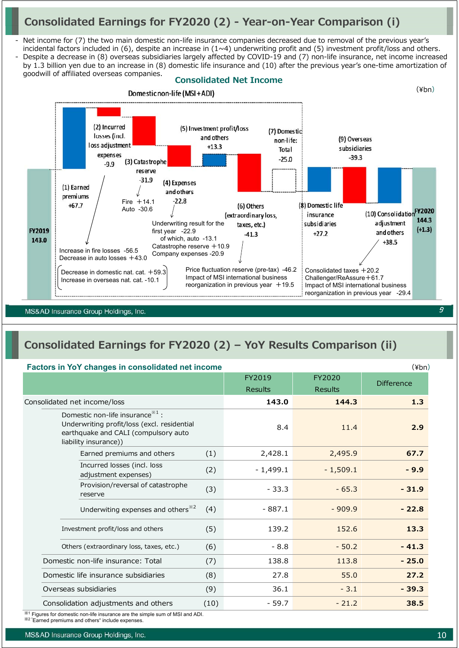# **Consolidated Earnings for FY2020 (2) - Year-on-Year Comparison (i)**

- Net income for (7) the two main domestic non-life insurance companies decreased due to removal of the previous year's incidental factors included in (6), despite an increase in  $(1 \sim 4)$  underwriting profit and (5) investment profit/loss and others.
- Despite a decrease in (8) overseas subsidiaries largely affected by COVID-19 and (7) non-life insurance, net income increased by 1.3 billion yen due to an increase in (8) domestic life insurance and (10) after the previous year's one-time amortization of goodwill of affiliated overseas companies.



MS&AD Insurance Group Holdings, Inc.

# **Consolidated Earnings for FY2020 (2) – YoY Results Comparison (ii)**

#### **Factors in YoY changes in consolidated net income**

| $\frac{1}{2}$                                                                                                                                                |      | FY2019<br><b>Results</b> | FY2020<br><b>Results</b> | <b>Difference</b> |
|--------------------------------------------------------------------------------------------------------------------------------------------------------------|------|--------------------------|--------------------------|-------------------|
| Consolidated net income/loss                                                                                                                                 |      | 143.0                    | 144.3                    | 1.3               |
| Domestic non-life insurance <sup>**1</sup> :<br>Underwriting profit/loss (excl. residential<br>earthquake and CALI (compulsory auto<br>liability insurance)) |      | 8.4                      | 11.4                     | 2.9               |
| Earned premiums and others                                                                                                                                   | (1)  | 2,428.1                  | 2,495.9                  | 67.7              |
| Incurred losses (incl. loss<br>adjustment expenses)                                                                                                          | (2)  | $-1,499.1$               | $-1,509.1$               | $-9.9$            |
| Provision/reversal of catastrophe<br>reserve                                                                                                                 | (3)  | $-33.3$                  | $-65.3$                  | $-31.9$           |
| Underwiting expenses and others <sup>*2</sup>                                                                                                                | (4)  | $-887.1$                 | $-909.9$                 | $-22.8$           |
| Investment profit/loss and others                                                                                                                            | (5)  | 139.2                    | 152.6                    | 13.3              |
| Others (extraordinary loss, taxes, etc.)                                                                                                                     |      | $-8.8$                   | $-50.2$                  | $-41.3$           |
| Domestic non-life insurance: Total                                                                                                                           |      | 138.8                    | 113.8                    | $-25.0$           |
| Domestic life insurance subsidiaries                                                                                                                         |      | 27.8                     | 55.0                     | 27.2              |
| Overseas subsidiaries                                                                                                                                        |      | 36.1                     | $-3.1$                   | $-39.3$           |
| Consolidation adjustments and others                                                                                                                         | (10) | $-59.7$                  | $-21.2$                  | 38.5              |

 $^{\rm 1}$  Figures for domestic non-life insurance are the simple sum of MSI and ADI.

※2 "Earned premiums and others" include expenses.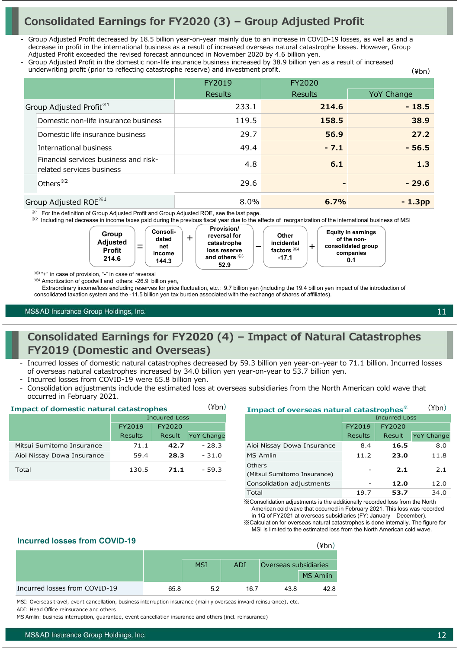# **Consolidated Earnings for FY2020 (3) – Group Adjusted Profit**

- Group Adjusted Profit decreased by 18.5 billion year-on-year mainly due to an increase in COVID-19 losses, as well as and a decrease in profit in the international business as a result of increased overseas natural catastrophe losses. However, Group Adjusted Profit exceeded the revised forecast announced in November 2020 by 4.6 billion yen.
- Group Adjusted Profit in the domestic non-life insurance business increased by 38.9 billion yen as a result of increased underwriting profit (prior to reflecting catastrophe reserve) and investment profit. (¥bn)

|                                                                    | FY2019         | FY2020         |            |
|--------------------------------------------------------------------|----------------|----------------|------------|
|                                                                    | <b>Results</b> | <b>Results</b> | YoY Change |
| Group Adjusted Profit <sup>*1</sup>                                | 233.1          | 214.6          | $-18.5$    |
| Domestic non-life insurance business                               | 119.5          | 158.5          | 38.9       |
| Domestic life insurance business                                   | 29.7           | 56.9           | 27.2       |
| International business                                             | 49.4           | $-7.1$         | $-56.5$    |
| Financial services business and risk-<br>related services business | 4.8            | 6.1            | 1.3        |
| Others <sup>*2</sup>                                               | 29.6           |                | $-29.6$    |
| Group Adjusted ROE <sup>*1</sup>                                   | 8.0%           | 6.7%           | $-1.3DD$   |

※<sup>1</sup> For the definition of Group Adjusted Profit and Group Adjusted ROE, see the last page.

※<sup>2</sup> Including net decrease in income taxes paid during the previous fiscal year due to the effects of reorganization of the international business of MSI



※<sup>3</sup> "+" in case of provision, "-" in case of reversal

※<sup>4</sup> Amortization of goodwill and others: -26.9 billion yen,

Extraordinary income/loss excluding reserves for price fluctuation, etc.: 9.7 billion yen (including the 19.4 billion yen impact of the introduction of

consolidated taxation system and the -11.5 billion yen tax burden associated with the exchange of shares of affiliates).

MS&AD Insurance Group Holdings, Inc.

# **Consolidated Earnings for FY2020 (4) – Impact of Natural Catastrophes FY2019 (Domestic and Overseas)**

- Incurred losses of domestic natural catastrophes decreased by 59.3 billion yen year-on-year to 71.1 billion. Incurred losses of overseas natural catastrophes increased by 34.0 billion yen year-on-year to 53.7 billion yen.
- Incurred losses from COVID-19 were 65.8 billion yen.
- Consolidation adjustments include the estimated loss at overseas subsidiaries from the North American cold wave that occurred in February 2021.

| (¥bn)<br><b>Impact of domestic natural catastrophes</b> |                      |        | Impact of overseas natural catastrophes <sup>*</sup> |                                              |                          | (¥bn)  |                   |
|---------------------------------------------------------|----------------------|--------|------------------------------------------------------|----------------------------------------------|--------------------------|--------|-------------------|
|                                                         | <b>Incuured Loss</b> |        |                                                      |                                              | <b>Incurred Loss</b>     |        |                   |
|                                                         | FY2019               | FY2020 |                                                      |                                              | FY2019                   | FY2020 |                   |
|                                                         | <b>Results</b>       | Result | <b>YoY Change</b>                                    |                                              | <b>Results</b>           | Result | <b>YoY Change</b> |
| Mitsui Sumitomo Insurance                               | 71.1                 | 42.7   | $-28.3$                                              | Aioi Nissay Dowa Insurance                   | 8.4                      | 16.5   | 8.0               |
| Aioi Nissay Dowa Insurance                              | 59.4                 | 28.3   | $-31.0$                                              | MS Amlin                                     | 11.2                     | 23.0   | 11.8              |
| Total                                                   | 130.5                | 71.1   | $-59.3$                                              | <b>Others</b><br>(Mitsui Sumitomo Insurance) | $\overline{\phantom{a}}$ | 2.1    | 2.1               |

| (¥bn)             | Impact of overseas natural catastrophes* | $(\frac{4}{2})$ |                      |                   |
|-------------------|------------------------------------------|-----------------|----------------------|-------------------|
|                   |                                          |                 | <b>Incurred Loss</b> |                   |
|                   |                                          | FY2019          | FY2020               |                   |
| <b>YoY Change</b> |                                          | <b>Results</b>  | Result               | <b>YoY Change</b> |
| $-28.3$           | Aioi Nissay Dowa Insurance               | 8.4             | 16.5                 | 8.0               |
| $-31.0$           | <b>MS Amlin</b>                          | 11.2            | 23.0                 | 11.8              |
| $-59.3$           | Others<br>(Mitsui Sumitomo Insurance)    |                 | 2.1                  | 2.1               |
|                   | Consolidation adjustments                |                 | 12.0                 | 12.0              |
|                   | Total                                    | 19.7            | 53.7                 | 34.0              |

※Consolidation adjustments is the additionally recorded loss from the North American cold wave that occurred in February 2021. This loss was recorded

in 1Q of FY2021 at overseas subsidiaries (FY: January – December). ※Calculation for overseas natural catastrophes is done internally. The figure for

MSI is limited to the estimated loss from the North American cold wave.

(¥bn)

#### **Incurred losses from COVID-19**

|                               |      | <b>MSI</b> | ADI  | Overseas subsidiaries |                 |
|-------------------------------|------|------------|------|-----------------------|-----------------|
|                               |      |            |      |                       | <b>MS Amlin</b> |
| Incurred losses from COVID-19 | 65.8 | よつ         | 16.7 | 43.8                  | 42.8            |

MSI: Overseas travel, event cancellation, business interruption insurance (mainly overseas inward reinsurance), etc.

ADI: Head Office reinsurance and others

MS Amlin: business interruption, guarantee, event cancellation insurance and others (incl. reinsurance)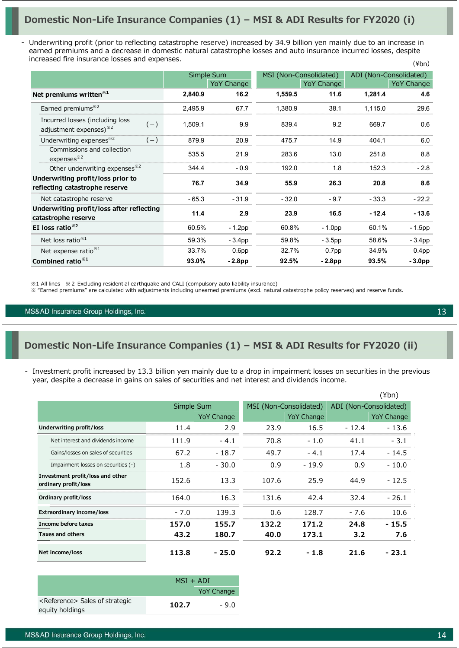- Underwriting profit (prior to reflecting catastrophe reserve) increased by 34.9 billion yen mainly due to an increase in earned premiums and a decrease in domestic natural catastrophe losses and auto insurance incurred losses, despite increased fire insurance losses and expenses. (¥bn)

|                                                                                |         | Simple Sum        |         | MSI (Non-Consolidated) |         | ADI (Non-Consolidated) |
|--------------------------------------------------------------------------------|---------|-------------------|---------|------------------------|---------|------------------------|
|                                                                                |         | <b>YoY Change</b> |         | YoY Change             |         | YoY Change             |
| Net premiums written <sup>*1</sup>                                             | 2,840.9 | 16.2              | 1,559.5 | 11.6                   | 1,281.4 | 4.6                    |
| Earned premiums <sup>*2</sup>                                                  | 2,495.9 | 67.7              | 1,380.9 | 38.1                   | 1,115.0 | 29.6                   |
| Incurred losses (including loss<br>$(-)$<br>adjustment expenses) <sup>32</sup> | 1,509.1 | 9.9               | 839.4   | 9.2                    | 669.7   | 0.6                    |
| Underwriting expenses <sup>32</sup><br>$(-)$                                   | 879.9   | 20.9              | 475.7   | 14.9                   | 404.1   | 6.0                    |
| Commissions and collection<br>expenses <sup>*2</sup>                           | 535.5   | 21.9              | 283.6   | 13.0                   | 251.8   | 8.8                    |
| Other underwriting expenses <sup>*2</sup>                                      | 344.4   | $-0.9$            | 192.0   | 1.8                    | 152.3   | $-2.8$                 |
| Underwriting profit/loss prior to                                              | 76.7    | 34.9              | 55.9    | 26.3                   | 20.8    | 8.6                    |
| reflecting catastrophe reserve                                                 |         |                   |         |                        |         |                        |
| Net catastrophe reserve                                                        | $-65.3$ | $-31.9$           | $-32.0$ | $-9.7$                 | $-33.3$ | $-22.2$                |
| Underwriting profit/loss after reflecting                                      | 11.4    | 2.9               | 23.9    | 16.5                   | $-12.4$ | $-13.6$                |
| catastrophe reserve                                                            |         |                   |         |                        |         |                        |
| EI loss ratio $*^{2}$                                                          | 60.5%   | $-1.2$ pp         | 60.8%   | $-1.0pp$               | 60.1%   | $-1.5$ pp              |
| Net loss ratio <sup>**1</sup>                                                  | 59.3%   | $-3.4pp$          | 59.8%   | $-3.5pp$               | 58.6%   | $-3.4pp$               |
| Net expense ratio <sup>*1</sup>                                                | 33.7%   | 0.6 <sub>pp</sub> | 32.7%   | 0.7 <sub>pp</sub>      | 34.9%   | 0.4 <sub>pp</sub>      |
| Combined ratio <sup>*1</sup>                                                   | 93.0%   | $-2.8pp$          | 92.5%   | $-2.8pp$               | 93.5%   | $-3.0pp$               |

※1 All lines ※2 Excluding residential earthquake and CALI (compulsory auto liability insurance)

※ "Earned premiums" are calculated with adjustments including unearned premiums (excl. natural catastrophe policy reserves) and reserve funds.

MS&AD Insurance Group Holdings, Inc.

## **Domestic Non-Life Insurance Companies (1) – MSI & ADI Results for FY2020 (ii)**

- Investment profit increased by 13.3 billion yen mainly due to a drop in impairment losses on securities in the previous year, despite a decrease in gains on sales of securities and net interest and dividends income.

|                                                          |        |                   |       |                        |         | (¥bn)                  |
|----------------------------------------------------------|--------|-------------------|-------|------------------------|---------|------------------------|
|                                                          |        | Simple Sum        |       | MSI (Non-Consolidated) |         | ADI (Non-Consolidated) |
|                                                          |        | <b>YoY Change</b> |       | YoY Change             |         | <b>YoY Change</b>      |
| Underwriting profit/loss                                 | 11.4   | 2.9               | 23.9  | 16.5                   | $-12.4$ | - 13.6                 |
| Net interest and dividends income                        | 111.9  | $-4.1$            | 70.8  | $-1.0$                 | 41.1    | $-3.1$                 |
| Gains/losses on sales of securities                      | 67.2   | $-18.7$           | 49.7  | $-4.1$                 | 17.4    | $-14.5$                |
| Impairment losses on securities (-)                      | 1.8    | $-30.0$           | 0.9   | $-19.9$                | 0.9     | $-10.0$                |
| Investment profit/loss and other<br>ordinary profit/loss | 152.6  | 13.3              | 107.6 | 25.9                   | 44.9    | $-12.5$                |
| Ordinary profit/loss                                     | 164.0  | 16.3              | 131.6 | 42.4                   | 32.4    | $-26.1$                |
| <b>Extraordinary income/loss</b>                         | $-7.0$ | 139.3             | 0.6   | 128.7                  | $-7.6$  | 10.6                   |
| Income before taxes                                      | 157.0  | 155.7             | 132.2 | 171.2                  | 24.8    | - 15.5                 |
| <b>Taxes and others</b>                                  | 43.2   | 180.7             | 40.0  | 173.1                  | 3.2     | 7.6                    |
| Net income/loss                                          | 113.8  | - 25.0            | 92.2  | $-1.8$                 | 21.6    | - 23.1                 |

|                                                                | $MSI + ADI$ |                   |  |
|----------------------------------------------------------------|-------------|-------------------|--|
|                                                                |             | <b>YoY Change</b> |  |
| <reference> Sales of strategic<br/>equity holdings</reference> | 102.7       | $-9.0$            |  |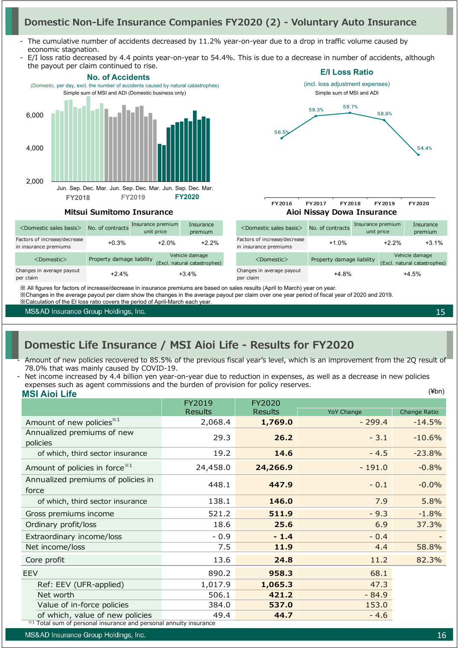# **Domestic Non-Life Insurance Companies FY2020 (2) - Voluntary Auto Insurance**

- The cumulative number of accidents decreased by 11.2% year-on-year due to a drop in traffic volume caused by economic stagnation.
- E/I loss ratio decreased by 4.4 points year-on-year to 54.4%. This is due to a decrease in number of accidents, although the payout per claim continued to rise.



MS&AD Insurance Group Holdings, Inc.

15

# **Domestic Life Insurance / MSI Aioi Life - Results for FY2020**

- Amount of new policies recovered to 85.5% of the previous fiscal year's level, which is an improvement from the 2Q result of 78.0% that was mainly caused by COVID-19.
- **MSI Aioi Life** (¥bn) Net income increased by 4.4 billion yen year-on-year due to reduction in expenses, as well as a decrease in new policies expenses such as agent commissions and the burden of provision for policy reserves.

|                                             | FY2019         | FY2020   |                   |              |
|---------------------------------------------|----------------|----------|-------------------|--------------|
|                                             | <b>Results</b> | Results  | <b>YoY Change</b> | Change Ratio |
| Amount of new policies <sup>*1</sup>        | 2,068.4        | 1,769.0  | $-299.4$          | $-14.5%$     |
| Annualized premiums of new<br>policies      | 29.3           | 26.2     | $-3.1$            | $-10.6%$     |
| of which, third sector insurance            | 19.2           | 14.6     | $-4.5$            | $-23.8%$     |
| Amount of policies in force <sup>**1</sup>  | 24,458.0       | 24,266.9 | $-191.0$          | $-0.8%$      |
| Annualized premiums of policies in<br>force | 448.1          | 447.9    | $-0.1$            | $-0.0\%$     |
| of which, third sector insurance            | 138.1          | 146.0    | 7.9               | 5.8%         |
| Gross premiums income                       | 521.2          | 511.9    | $-9.3$            | $-1.8%$      |
| Ordinary profit/loss                        | 18.6           | 25.6     | 6.9               | 37.3%        |
| Extraordinary income/loss                   | $-0.9$         | $-1.4$   | $-0.4$            |              |
| Net income/loss                             | 7.5            | 11.9     | 4.4               | 58.8%        |
| Core profit                                 | 13.6           | 24.8     | 11.2              | 82.3%        |
| <b>EEV</b>                                  | 890.2          | 958.3    | 68.1              |              |
| Ref: EEV (UFR-applied)                      | 1,017.9        | 1,065.3  | 47.3              |              |
| Net worth                                   | 506.1          | 421.2    | $-84.9$           |              |
| Value of in-force policies                  | 384.0          | 537.0    | 153.0             |              |
| of which, value of new policies             | 49.4           | 44.7     | $-4.6$            |              |

※1 Total sum of personal insurance and personal annuity insurance

MS&AD Insurance Group Holdings, Inc.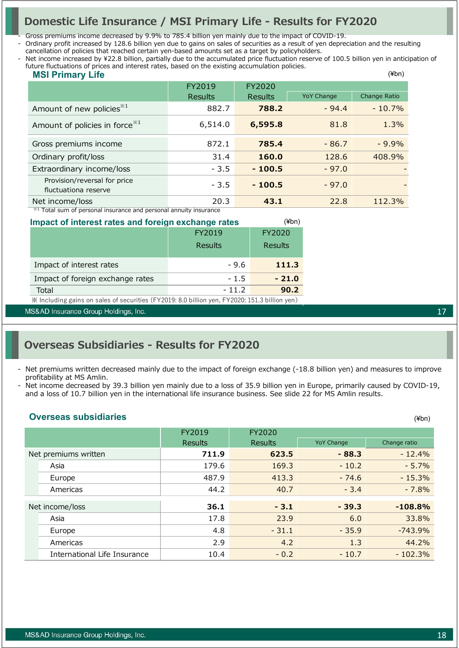# **Domestic Life Insurance / MSI Primary Life - Results for FY2020**

- Gross premiums income decreased by 9.9% to 785.4 billion yen mainly due to the impact of COVID-19.

- Ordinary profit increased by 128.6 billion yen due to gains on sales of securities as a result of yen depreciation and the resulting cancellation of policies that reached certain yen-based amounts set as a target by policyholders.

 $k$  ( $k$ )  $k$ Net income increased by ¥22.8 billion, partially due to the accumulated price fluctuation reserve of 100.5 billion yen in anticipation of future fluctuations of prices and interest rates, based on the existing accumulation policies.

| <b>MSI Primary Life</b>                                                       |         |                |                   | $(\n{Fbn})$  |  |  |  |
|-------------------------------------------------------------------------------|---------|----------------|-------------------|--------------|--|--|--|
|                                                                               | FY2019  | FY2020         |                   |              |  |  |  |
|                                                                               | Results | <b>Results</b> | <b>YoY Change</b> | Change Ratio |  |  |  |
| Amount of new policies <sup>*1</sup>                                          | 882.7   | 788.2          | $-94.4$           | $-10.7\%$    |  |  |  |
| Amount of policies in force <sup>*1</sup>                                     | 6,514.0 | 6,595.8        | 81.8              | 1.3%         |  |  |  |
| Gross premiums income                                                         | 872.1   | 785.4          | $-86.7$           | $-9.9\%$     |  |  |  |
| Ordinary profit/loss                                                          | 31.4    | 160.0          | 128.6             | 408.9%       |  |  |  |
| Extraordinary income/loss                                                     | $-3.5$  | $-100.5$       | $-97.0$           |              |  |  |  |
| Provision/reversal for price<br>fluctuationa reserve                          | $-3.5$  | $-100.5$       | $-97.0$           |              |  |  |  |
| Net income/loss                                                               | 20.3    | 43.1           | 22.8              | 112.3%       |  |  |  |
| * <sup>1</sup> Total sum of personal insurance and personal annuity insurance |         |                |                   |              |  |  |  |

 $(4h)$ 

**Impact of interest rates and foreign exchange rates**

| <u>pape of corportation and .org. papelando ratuo</u>                                         |         |                |  |  |  |
|-----------------------------------------------------------------------------------------------|---------|----------------|--|--|--|
|                                                                                               | FY2019  | FY2020         |  |  |  |
|                                                                                               | Results | <b>Results</b> |  |  |  |
| Impact of interest rates                                                                      | $-9.6$  | 111.3          |  |  |  |
| Impact of foreign exchange rates                                                              | $-1.5$  | $-21.0$        |  |  |  |
| Total                                                                                         | $-11.2$ | 90.2           |  |  |  |
| X Including gains on sales of securities (FY2019: 8.0 billion yen, FY2020: 151.3 billion yen) |         |                |  |  |  |

MS&AD Insurance Group Holdings, Inc.

# **Overseas Subsidiaries - Results for FY2020**

- Net premiums written decreased mainly due to the impact of foreign exchange (-18.8 billion yen) and measures to improve profitability at MS Amlin.
- Net income decreased by 39.3 billion yen mainly due to a loss of 35.9 billion yen in Europe, primarily caused by COVID-19, and a loss of 10.7 billion yen in the international life insurance business. See slide 22 for MS Amlin results.

### **Overseas subsidiaries**

|                      |                              | FY2019         | FY2020         |                   |              |
|----------------------|------------------------------|----------------|----------------|-------------------|--------------|
|                      |                              | <b>Results</b> | <b>Results</b> | <b>YoY Change</b> | Change ratio |
| Net premiums written |                              | 711.9          | 623.5          | $-88.3$           | $-12.4%$     |
|                      | Asia                         | 179.6          | 169.3          | $-10.2$           | $-5.7%$      |
|                      | Europe                       | 487.9          | 413.3          | $-74.6$           | $-15.3%$     |
|                      | Americas                     | 44.2           | 40.7           | $-3.4$            | $-7.8%$      |
|                      |                              |                |                |                   |              |
|                      | Net income/loss              | 36.1           | $-3.1$         | $-39.3$           | $-108.8%$    |
|                      | Asia                         | 17.8           | 23.9           | 6.0               | 33.8%        |
|                      | Europe                       | 4.8            | $-31.1$        | $-35.9$           | $-743.9%$    |
|                      | Americas                     | 2.9            | 4.2            | 1.3               | 44.2%        |
|                      | International Life Insurance | 10.4           | $-0.2$         | $-10.7$           | $-102.3%$    |

17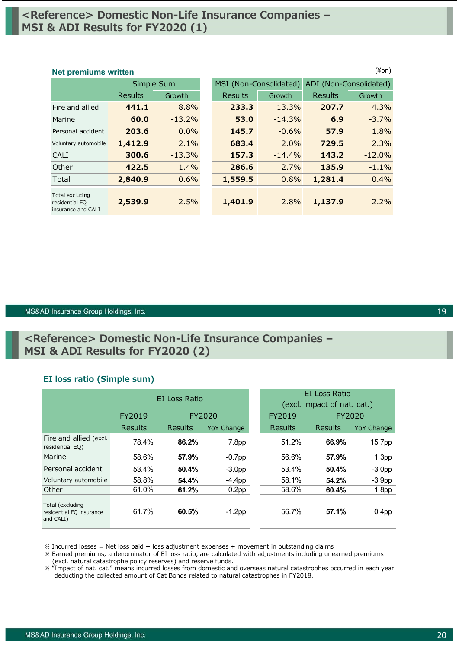# **<Reference> Domestic Non-Life Insurance Companies – MSI & ADI Results for FY2020 (1)**

### **Net premiums written** (¥bn)

|                                                         | Simple Sum     |          | MSI (Non-Consolidated) |          | ADI (Non-Consolidated) |          |
|---------------------------------------------------------|----------------|----------|------------------------|----------|------------------------|----------|
|                                                         | <b>Results</b> | Growth   | Results                | Growth   | <b>Results</b>         | Growth   |
| Fire and allied                                         | 441.1          | 8.8%     | 233.3                  | 13.3%    | 207.7                  | 4.3%     |
| Marine                                                  | 60.0           | $-13.2%$ | 53.0                   | $-14.3%$ | 6.9                    | $-3.7%$  |
| Personal accident                                       | 203.6          | 0.0%     | 145.7                  | $-0.6%$  | 57.9                   | 1.8%     |
| Voluntary automobile                                    | 1,412.9        | 2.1%     | 683.4                  | 2.0%     | 729.5                  | 2.3%     |
| CALI                                                    | 300.6          | $-13.3%$ | 157.3                  | $-14.4%$ | 143.2                  | $-12.0%$ |
| Other                                                   | 422.5          | 1.4%     | 286.6                  | 2.7%     | 135.9                  | $-1.1%$  |
| Total                                                   | 2,840.9        | 0.6%     | 1,559.5                | 0.8%     | 1,281.4                | 0.4%     |
| Total excluding<br>residential EQ<br>insurance and CALI | 2,539.9        | 2.5%     | 1,401.9                | 2.8%     | 1,137.9                | 2.2%     |

#### MS&AD Insurance Group Holdings, Inc.

# **<Reference> Domestic Non-Life Insurance Companies – MSI & ADI Results for FY2020 (2)**

#### **EI loss ratio (Simple sum)**

|                                                           | EI Loss Ratio  |         |                   |  | EI Loss Ratio               |         |                   |  |
|-----------------------------------------------------------|----------------|---------|-------------------|--|-----------------------------|---------|-------------------|--|
|                                                           |                |         |                   |  | (excl. impact of nat. cat.) |         |                   |  |
|                                                           | FY2019         |         | <b>FY2020</b>     |  | FY2019                      | FY2020  |                   |  |
|                                                           | <b>Results</b> | Results | <b>YoY Change</b> |  | Results                     | Results | <b>YoY Change</b> |  |
| Fire and allied (excl.<br>residential EQ)                 | 78.4%          | 86.2%   | 7.8 <sub>pp</sub> |  | 51.2%                       | 66.9%   | 15.7pp            |  |
| Marine                                                    | 58.6%          | 57.9%   | $-0.7$ pp         |  | 56.6%                       | 57.9%   | 1.3 <sub>pp</sub> |  |
| Personal accident                                         | 53.4%          | 50.4%   | $-3.0pp$          |  | 53.4%                       | 50.4%   | $-3.0pp$          |  |
| Voluntary automobile                                      | 58.8%          | 54.4%   | $-4.4pp$          |  | 58.1%                       | 54.2%   | $-3.9pp$          |  |
| Other                                                     | 61.0%          | 61.2%   | 0.2 <sub>pp</sub> |  | 58.6%                       | 60.4%   | 1.8 <sub>pp</sub> |  |
| Total (excluding<br>residential EQ insurance<br>and CALI) | 61.7%          | 60.5%   | $-1.2$ pp         |  | 56.7%                       | 57.1%   | 0.4 <sub>pp</sub> |  |

 $\%$  Incurred losses = Net loss paid + loss adjustment expenses + movement in outstanding claims

※ Earned premiums, a denominator of EI loss ratio, are calculated with adjustments including unearned premiums (excl. natural catastrophe policy reserves) and reserve funds.

※ "Impact of nat. cat." means incurred losses from domestic and overseas natural catastrophes occurred in each year deducting the collected amount of Cat Bonds related to natural catastrophes in FY2018.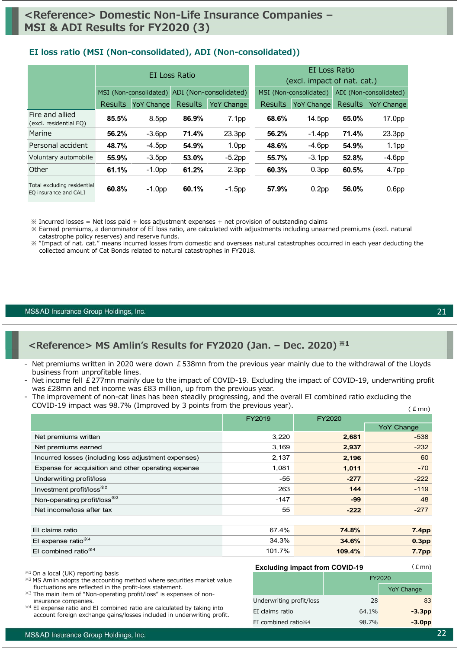### **EI loss ratio (MSI (Non-consolidated), ADI (Non-consolidated))**

|                                                      | EI Loss Ratio  |                   |                | EI Loss Ratio<br>(excl. impact of nat. cat.)                            |                |                        |                |                   |
|------------------------------------------------------|----------------|-------------------|----------------|-------------------------------------------------------------------------|----------------|------------------------|----------------|-------------------|
|                                                      |                |                   |                | MSI (Non-consolidated) ADI (Non-consolidated)<br>MSI (Non-consolidated) |                | ADI (Non-consolidated) |                |                   |
|                                                      | <b>Results</b> | <b>YoY Change</b> | <b>Results</b> | <b>YoY Change</b>                                                       | <b>Results</b> | <b>YoY Change</b>      | <b>Results</b> | <b>YoY Change</b> |
| Fire and allied<br>(excl. residential EQ)            | 85.5%          | 8.5pp             | 86.9%          | 7.1 <sub>pp</sub>                                                       | 68.6%          | 14.5pp                 | 65.0%          | 17.0pp            |
| Marine                                               | 56.2%          | $-3.6pp$          | 71.4%          | 23.3pp                                                                  | 56.2%          | $-1.4$ pp              | 71.4%          | 23.3pp            |
| Personal accident                                    | 48.7%          | $-4.5$ pp         | 54.9%          | 1.0 <sub>pp</sub>                                                       | 48.6%          | $-4.6pp$               | 54.9%          | 1.1 <sub>pp</sub> |
| Voluntary automobile                                 | 55.9%          | $-3.5$ pp         | 53.0%          | $-5.2pp$                                                                | 55.7%          | $-3.1pp$               | 52.8%          | $-4.6pp$          |
| Other                                                | 61.1%          | $-1.0$ pp         | 61.2%          | 2.3 <sub>pp</sub>                                                       | 60.3%          | 0.3 <sub>pp</sub>      | 60.5%          | 4.7pp             |
| Total excluding residential<br>EQ insurance and CALI | 60.8%          | $-1.0$ pp         | 60.1%          | $-1.5$ pp                                                               | 57.9%          | 0.2 <sub>pp</sub>      | 56.0%          | 0.6 <sub>pp</sub> |

 $\%$  Incurred losses = Net loss paid + loss adjustment expenses + net provision of outstanding claims

※ Earned premiums, a denominator of EI loss ratio, are calculated with adjustments including unearned premiums (excl. natural catastrophe policy reserves) and reserve funds.

※ "Impact of nat. cat." means incurred losses from domestic and overseas natural catastrophes occurred in each year deducting the collected amount of Cat Bonds related to natural catastrophes in FY2018.

MS&AD Insurance Group Holdings, Inc.

### **<Reference> MS Amlin's Results for FY2020 (Jan. – Dec. 2020) ※1**

- Net premiums written in 2020 were down  $E$  538mn from the previous year mainly due to the withdrawal of the Lloyds business from unprofitable lines.
- Net income fell £277mn mainly due to the impact of COVID-19. Excluding the impact of COVID-19, underwriting profit was £28mn and net income was £83 million, up from the previous year.
- $(Emn)$ The improvement of non-cat lines has been steadily progressing, and the overall EI combined ratio excluding the COVID-19 impact was 98.7% (Improved by 3 points from the previous year).

|                                                      | FY2019 | <b>FY2020</b> |                   |
|------------------------------------------------------|--------|---------------|-------------------|
|                                                      |        |               | <b>YoY Change</b> |
| Net premiums written                                 | 3,220  | 2,681         | $-538$            |
| Net premiums earned                                  | 3,169  | 2,937         | $-232$            |
| Incurred losses (including loss adjustment expenses) | 2,137  | 2,196         | 60                |
| Expense for acquisition and other operating expense  | 1,081  | 1,011         | $-70$             |
| Underwriting profit/loss                             | $-55$  | $-277$        | $-222$            |
| Investment profit/loss <sup>362</sup>                | 263    | 144           | $-119$            |
| Non-operating profit/loss <sup>*3</sup>              | $-147$ | $-99$         | 48                |
| Net income/loss after tax                            | 55     | $-222$        | $-277$            |
|                                                      |        |               |                   |
| El claims ratio                                      | 67.4%  | 74.8%         | 7.4 <sub>pp</sub> |
| El expense ratio <sup>*4</sup>                       | 34.3%  | 34.6%         | 0.3 <sub>pp</sub> |
| El combined ratio <sup>*/4</sup>                     | 101.7% | 109.4%        | <b>7.7pp</b>      |

※1 On a local (UK) reporting basis

- ※2 MS Amlin adopts the accounting method where securities market value fluctuations are reflected in the profit-loss statement.
- ※3 The main item of "Non-operating profit/loss" is expenses of non-
- insurance companies. ※4 EI expense ratio and EI combined ratio are calculated by taking into account foreign exchange gains/losses included in underwriting profit.

#### **Excluding impact from COVID-19**

|                                 | FY2020 |                   |  |
|---------------------------------|--------|-------------------|--|
|                                 |        | <b>YoY Change</b> |  |
| Underwriting profit/loss        | 28     | 83                |  |
| EI claims ratio                 | 64.1%  | $-3.3pp$          |  |
| EI combined ratio <sup>*4</sup> | 98.7%  | $-3.0pp$          |  |

 $(Emn)$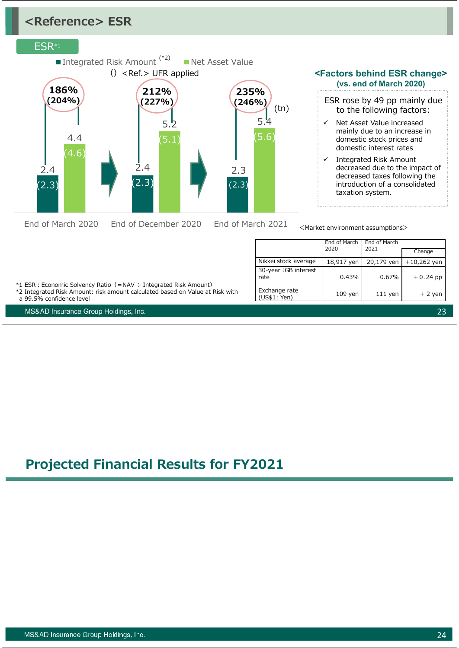# **<Reference> ESR**

### ESR\*1



**<Factors behind ESR change> (vs. end of March 2020)**

- ESR rose by 49 pp mainly due to the following factors:
- Net Asset Value increased mainly due to an increase in domestic stock prices and domestic interest rates
- $\checkmark$  Integrated Risk Amount decreased due to the impact of decreased taxes following the introduction of a consolidated taxation system.

<Market environment assumptions>

|                               | End of March<br>2020 | End of March<br>2021 |               |
|-------------------------------|----------------------|----------------------|---------------|
|                               |                      |                      | Change        |
| Nikkei stock average          | 18,917 yen           | 29,179 yen           | $+10,262$ yen |
| 30-year JGB interest<br>rate  | 0.43%                | 0.67%                | $+0.24$ pp    |
| Exchange rate<br>(US\$1: Yen) | $109$ yen            | $111$ yen            | $+2$ yen      |

\*1 ESR︓Economic Solvency Ratio(=NAV ÷ Integrated Risk Amount)

\*2 Integrated Risk Amount: risk amount calculated based on Value at Risk with a 99.5% confidence level

MS&AD Insurance Group Holdings, Inc.

# **Projected Financial Results for FY2021**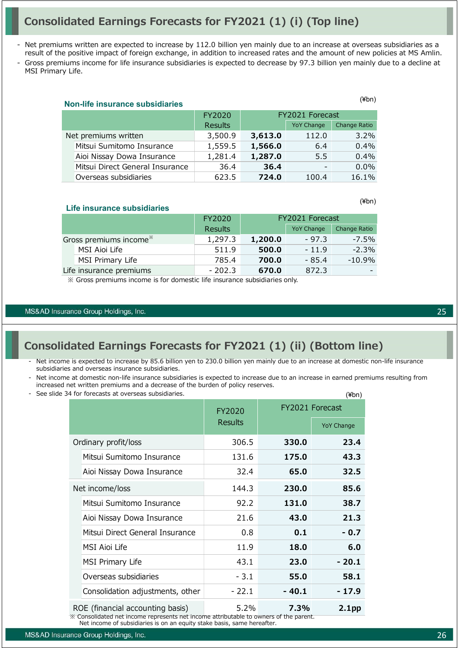# **Consolidated Earnings Forecasts for FY2021 (1) (i) (Top line)**

- Net premiums written are expected to increase by 112.0 billion yen mainly due to an increase at overseas subsidiaries as a result of the positive impact of foreign exchange, in addition to increased rates and the amount of new policies at MS Amlin.
- Gross premiums income for life insurance subsidiaries is expected to decrease by 97.3 billion yen mainly due to a decline at MSI Primary Life.

|                      | ווט+ו)<br><b>Non-life insurance subsidiaries</b> |         |                 |                          |              |  |  |
|----------------------|--------------------------------------------------|---------|-----------------|--------------------------|--------------|--|--|
|                      |                                                  | FY2020  | FY2021 Forecast |                          |              |  |  |
|                      |                                                  | Results |                 | <b>YoY Change</b>        | Change Ratio |  |  |
| Net premiums written |                                                  | 3,500.9 | 3,613.0         | 112.0                    | 3.2%         |  |  |
|                      | Mitsui Sumitomo Insurance                        | 1,559.5 | 1,566.0         | 6.4                      | 0.4%         |  |  |
|                      | Aioi Nissay Dowa Insurance                       | 1,281.4 | 1,287.0         | 5.5                      | 0.4%         |  |  |
|                      | Mitsui Direct General Insurance                  | 36.4    | 36.4            | $\overline{\phantom{0}}$ | 0.0%         |  |  |
|                      | Overseas subsidiaries                            | 623.5   | 724.0           | 100.4                    | 16.1%        |  |  |

**Life insurance subsidiaries** 

|                                    | FY2020         | FY2021 Forecast |                   |              |
|------------------------------------|----------------|-----------------|-------------------|--------------|
|                                    | <b>Results</b> |                 | <b>YoY Change</b> | Change Ratio |
| Gross premiums income <sup>*</sup> | 1,297.3        | 1,200.0         | $-97.3$           | $-7.5\%$     |
| MSI Aioi Life                      | 511.9          | 500.0           | $-11.9$           | $-2.3%$      |
| MSI Primary Life                   | 785.4          | 700.0           | $-85.4$           | -10.9%       |
| Life insurance premiums            | $-202.3$       | 670.0           | 872.3             |              |

※ Gross premiums income is for domestic life insurance subsidiaries only.

#### MS&AD Insurance Group Holdings, Inc.

# **Consolidated Earnings Forecasts for FY2021 (1) (ii) (Bottom line)**

- Net income is expected to increase by 85.6 billion yen to 230.0 billion yen mainly due to an increase at domestic non-life insurance subsidiaries and overseas insurance subsidiaries.
- Net income at domestic non-life insurance subsidiaries is expected to increase due to an increase in earned premiums resulting from increased net written premiums and a decrease of the burden of policy reserves.
- See slide 34 for forecasts at overseas subsidiaries.

|                                  |                                  | FY2020         |         | FY2021 Forecast   |  |
|----------------------------------|----------------------------------|----------------|---------|-------------------|--|
|                                  |                                  | <b>Results</b> |         | <b>YoY Change</b> |  |
|                                  | Ordinary profit/loss             | 306.5          | 330.0   | 23.4              |  |
|                                  | Mitsui Sumitomo Insurance        | 131.6          | 175.0   | 43.3              |  |
|                                  | Aioi Nissay Dowa Insurance       | 32.4           | 65.0    | 32.5              |  |
| Net income/loss                  |                                  | 144.3          | 230.0   | 85.6              |  |
|                                  | Mitsui Sumitomo Insurance        | 92.2           | 131.0   | 38.7              |  |
|                                  | Aioi Nissay Dowa Insurance       | 21.6           | 43.0    | 21.3              |  |
|                                  | Mitsui Direct General Insurance  | 0.8            | 0.1     | $-0.7$            |  |
|                                  | MSI Aioi Life                    | 11.9           | 18.0    | 6.0               |  |
|                                  | MSI Primary Life                 | 43.1           | 23.0    | - 20.1            |  |
|                                  | Overseas subsidiaries            | $-3.1$         | 55.0    | 58.1              |  |
|                                  | Consolidation adjustments, other | $-22.1$        | $-40.1$ | $-17.9$           |  |
| ROE (financial accounting basis) |                                  | 5.2%           | 7.3%    | 2.1 <sub>pp</sub> |  |

※ Consolidated net income represents net income attributable to owners of the parent. Net income of subsidiaries is on an equity stake basis, same hereafter.

25

 $(4h)$ 

(¥bn)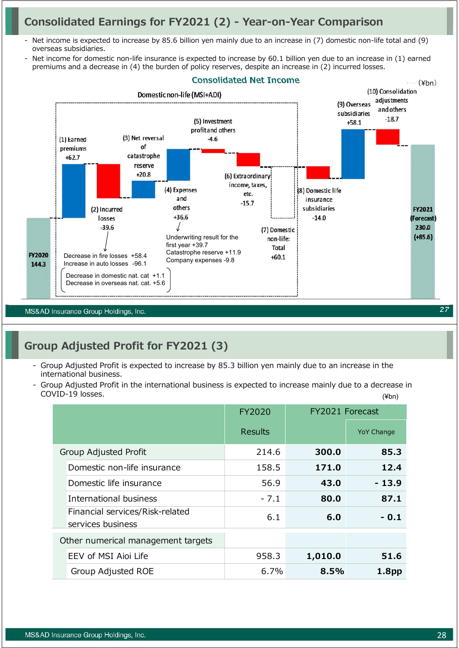# **Consolidated Earnings for FY2021 (2) - Year-on-Year Comparison**

- Net income is expected to increase by 85.6 billion yen mainly due to an increase in (7) domestic non-life total and (9) overseas subsidiaries.
- Net income for domestic non-life insurance is expected to increase by 60.1 billion yen due to an increase in (1) earned premiums and a decrease in (4) the burden of policy reserves, despite an increase in (2) incurred losses.



MS&AD Insurance Group Holdings, Inc.

# **Group Adjusted Profit for FY2021 (3)**

- Group Adjusted Profit is expected to increase by 85.3 billion yen mainly due to an increase in the international business.
- (¥bn) - Group Adjusted Profit in the international business is expected to increase mainly due to a decrease in COVID-19 losses.

|                                                      | FY2020         | FY2021 Forecast |                   |
|------------------------------------------------------|----------------|-----------------|-------------------|
|                                                      | <b>Results</b> |                 | <b>YoY Change</b> |
| Group Adjusted Profit                                | 214.6          | 300.0           | 85.3              |
| Domestic non-life insurance                          | 158.5          | 171.0           | 12.4              |
| Domestic life insurance                              | 56.9           | 43.0            | $-13.9$           |
| International business                               | $-7.1$         | 80.0            | 87.1              |
| Financial services/Risk-related<br>services business | 6.1            | 6.0             | - 0.1             |
| Other numerical management targets                   |                |                 |                   |
| EEV of MSI Aioi Life                                 | 958.3          | 1,010.0         | 51.6              |
| Group Adjusted ROE                                   | $6.7\%$        | 8.5%            | 1.8 <sub>pp</sub> |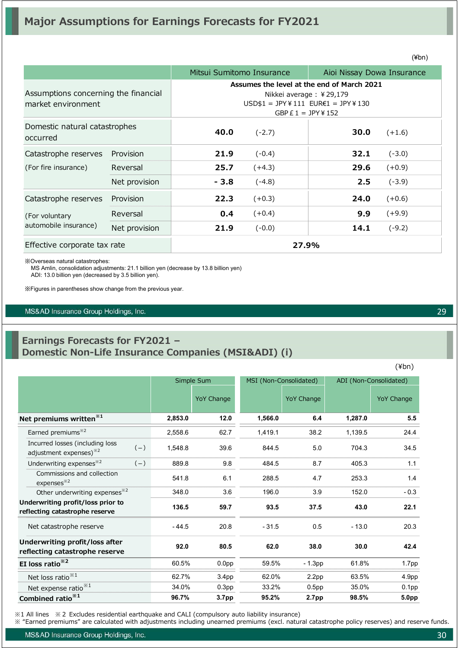|                                                            |               | Mitsui Sumitomo Insurance                                                                                                           |          | Aioi Nissay Dowa Insurance |          |
|------------------------------------------------------------|---------------|-------------------------------------------------------------------------------------------------------------------------------------|----------|----------------------------|----------|
| Assumptions concerning the financial<br>market environment |               | Assumes the level at the end of March 2021<br>Nikkei average: ¥29,179<br>$USD$1 = JPY¥111 EUR€1 = JPY¥130$<br>GBP $E 1 = JPY$ ¥ 152 |          |                            |          |
| Domestic natural catastrophes<br>occurred                  |               | 40.0                                                                                                                                | $(-2.7)$ | 30.0                       | $(+1.6)$ |
| Catastrophe reserves                                       | Provision     | 21.9                                                                                                                                | $(-0.4)$ | 32.1                       | $(-3.0)$ |
| (For fire insurance)                                       | Reversal      | 25.7                                                                                                                                | $(+4.3)$ | 29.6                       | $(+0.9)$ |
|                                                            | Net provision | $-3.8$                                                                                                                              | $(-4.8)$ | 2.5                        | $(-3.9)$ |
| Catastrophe reserves                                       | Provision     | 22.3                                                                                                                                | $(+0.3)$ | 24.0                       | $(+0.6)$ |
| (For voluntary                                             | Reversal      | 0.4                                                                                                                                 | $(+0.4)$ | 9.9                        | $(+9.9)$ |
| automobile insurance)                                      | Net provision | 21.9                                                                                                                                | $(-0.0)$ | 14.1                       | $(-9.2)$ |
| Effective corporate tax rate                               |               |                                                                                                                                     | 27.9%    |                            |          |

※Overseas natural catastrophes:

MS Amlin, consolidation adjustments: 21.1 billion yen (decrease by 13.8 billion yen)

ADI: 13.0 billion yen (decreased by 3.5 billion yen).

※Figures in parentheses show change from the previous year.

MS&AD Insurance Group Holdings, Inc.

### **Earnings Forecasts for FY2021 – Domestic Non-Life Insurance Companies (MSI&ADI) (i)**

Simple Sum MSI (Non-Consolidated) ADI (Non-Consolidated) YoY Change YoY Change YoY Change YoY Change **Net premiums written※1 2,853.0 12.0 1,566.0 6.4 1,287.0 5.5**  Earned premiums※2 2,558.6 62.7 1,419.1 38.2 1,139.5 24.4  $(-)$  1,548.8 39.6 844.5 5.0 704.3 34.5  $(-)$  889.8 9.8 484.5 8.7 405.3 1.1 Commissions and collection expenses<sup>※2</sup> and expenses... **541.8** 6.1 288.5 4.7 253.3 1.4 Other underwriting expenses<sup>32</sup> 348.0 3.6 196.0 3.9 152.0 - 0.3 **136.5 59.7 93.5 37.5 43.0 22.1**  - 44.5 20.8 - 31.5 0.5 - 13.0 20.3 **92.0 80.5 62.0 38.0 30.0 42.4 EI loss ratio<sup>※2</sup> 60.5% 0.0pp 59.5% - 1.3pp 61.8% 1.7pp** Net loss ratio<sup>※1</sup> 62.7% 3.4pp 62.0% 2.2pp 63.5% 4.9pp Net expense ratio<sup>※1</sup> 34.0% 0.3pp 33.2% 0.5pp 35.0% 0.1pp **Combined ratio<sup>※1</sup> <b>96.7%** 3.7pp 95.2% 2.7pp 98.5% 5.0pp **Underwriting profit/loss prior to reflecting catastrophe reserve** Net catastrophe reserve Incurred losses (including loss adjustment expenses)※2 Underwriting expenses<sup>※2</sup> **Underwriting profit/loss after reflecting catastrophe reserve**

※1 All lines ※2 Excludes residential earthquake and CALI (compulsory auto liability insurance)

※ "Earned premiums" are calculated with adjustments including unearned premiums (excl. natural catastrophe policy reserves) and reserve funds.

MS&AD Insurance Group Holdings, Inc.

(¥bn)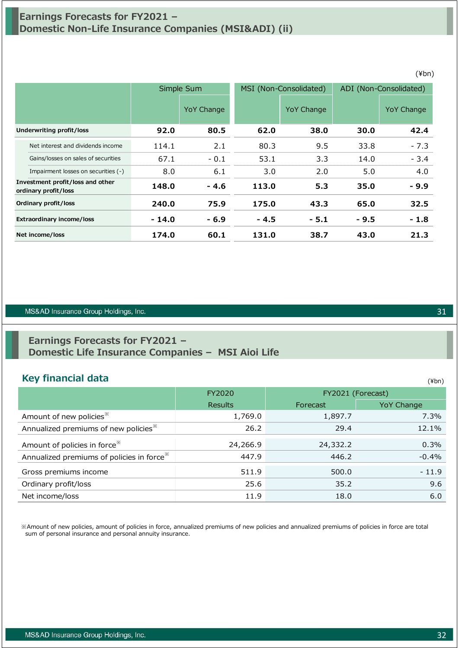# **Earnings Forecasts for FY2021 – Domestic Non-Life Insurance Companies (MSI&ADI) (ii)**

|                                  |                                                          | Simple Sum |            | MSI (Non-Consolidated) |            | ADI (Non-Consolidated) |            |
|----------------------------------|----------------------------------------------------------|------------|------------|------------------------|------------|------------------------|------------|
|                                  |                                                          |            | YoY Change |                        | YoY Change |                        | YoY Change |
|                                  | <b>Underwriting profit/loss</b>                          | 92.0       | 80.5       | 62.0                   | 38.0       | 30.0                   | 42.4       |
|                                  | Net interest and dividends income                        | 114.1      | 2.1        | 80.3                   | 9.5        | 33.8                   | $-7.3$     |
|                                  | Gains/losses on sales of securities                      | 67.1       | $-0.1$     | 53.1                   | 3.3        | 14.0                   | $-3.4$     |
|                                  | Impairment losses on securities (-)                      | 8.0        | 6.1        | 3.0                    | 2.0        | 5.0                    | 4.0        |
|                                  | Investment profit/loss and other<br>ordinary profit/loss | 148.0      | - 4.6      | 113.0                  | 5.3        | 35.0                   | $-9.9$     |
|                                  | Ordinary profit/loss                                     | 240.0      | 75.9       | 175.0                  | 43.3       | 65.0                   | 32.5       |
| <b>Extraordinary income/loss</b> |                                                          | $-14.0$    | $-6.9$     | $-4.5$                 | $-5.1$     | $-9.5$                 | $-1.8$     |
| Net income/loss                  |                                                          | 174.0      | 60.1       | 131.0                  | 38.7       | 43.0                   | 21.3       |

#### MS&AD Insurance Group Holdings, Inc.

## **Earnings Forecasts for FY2021 – Domestic Life Insurance Companies – MSI Aioi Life**

### **Key financial data**

|                                                       | FY2020         |          | FY2021 (Forecast) |
|-------------------------------------------------------|----------------|----------|-------------------|
|                                                       | <b>Results</b> | Forecast | <b>YoY Change</b> |
| Amount of new policies <sup>**</sup>                  | 1,769.0        | 1,897.7  | 7.3%              |
| Annualized premiums of new policies <sup>36</sup>     | 26.2           | 29.4     | 12.1%             |
| Amount of policies in force <sup>**</sup>             | 24,266.9       | 24,332.2 | 0.3%              |
| Annualized premiums of policies in force <sup>*</sup> | 447.9          | 446.2    | $-0.4%$           |
| Gross premiums income                                 | 511.9          | 500.0    | $-11.9$           |
| Ordinary profit/loss                                  | 25.6           | 35.2     | 9.6               |
| Net income/loss                                       | 11.9           | 18.0     | 6.0               |

※Amount of new policies, amount of policies in force, annualized premiums of new policies and annualized premiums of policies in force are total sum of personal insurance and personal annuity insurance.

### (¥bn)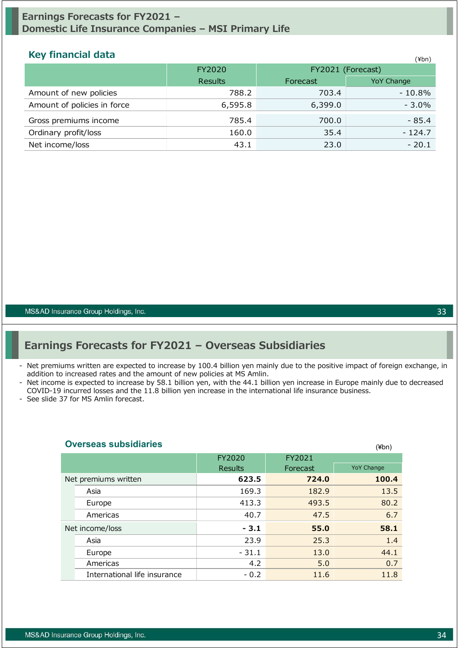## **Earnings Forecasts for FY2021 – Domestic Life Insurance Companies – MSI Primary Life**

### **Key financial data** (¥bn)

|                             | FY2020         |          | FY2021 (Forecast) |  |  |
|-----------------------------|----------------|----------|-------------------|--|--|
|                             | <b>Results</b> | Forecast | <b>YoY Change</b> |  |  |
| Amount of new policies      | 788.2          | 703.4    | $-10.8%$          |  |  |
| Amount of policies in force | 6,595.8        | 6,399.0  | $-3.0\%$          |  |  |
| Gross premiums income       | 785.4          | 700.0    | $-85.4$           |  |  |
| Ordinary profit/loss        | 160.0          | 35.4     | $-124.7$          |  |  |
| Net income/loss             | 43.1           | 23.0     | $-20.1$           |  |  |

MS&AD Insurance Group Holdings, Inc.

# **Earnings Forecasts for FY2021 – Overseas Subsidiaries**

- Net premiums written are expected to increase by 100.4 billion yen mainly due to the positive impact of foreign exchange, in addition to increased rates and the amount of new policies at MS Amlin.
- Net income is expected to increase by 58.1 billion yen, with the 44.1 billion yen increase in Europe mainly due to decreased COVID-19 incurred losses and the 11.8 billion yen increase in the international life insurance business.

- See slide 37 for MS Amlin forecast.

| <u>UVEISEAS SUDSIUIAIIES</u> |                |          | (¥bn)             |
|------------------------------|----------------|----------|-------------------|
|                              | FY2020         | FY2021   |                   |
|                              | <b>Results</b> | Forecast | <b>YoY Change</b> |
| Net premiums written         | 623.5          | 724.0    | 100.4             |
| Asia                         | 169.3          | 182.9    | 13.5              |
| Europe                       | 413.3          | 493.5    | 80.2              |
| Americas                     | 40.7           | 47.5     | 6.7               |
| Net income/loss              | $-3.1$         | 55.0     | 58.1              |
| Asia                         | 23.9           | 25.3     | 1.4               |
| Europe                       | $-31.1$        | 13.0     | 44.1              |
| Americas                     | 4.2            | 5.0      | 0.7               |
| International life insurance | $-0.2$         | 11.6     | 11.8              |

#### **Overseas subsidiaries**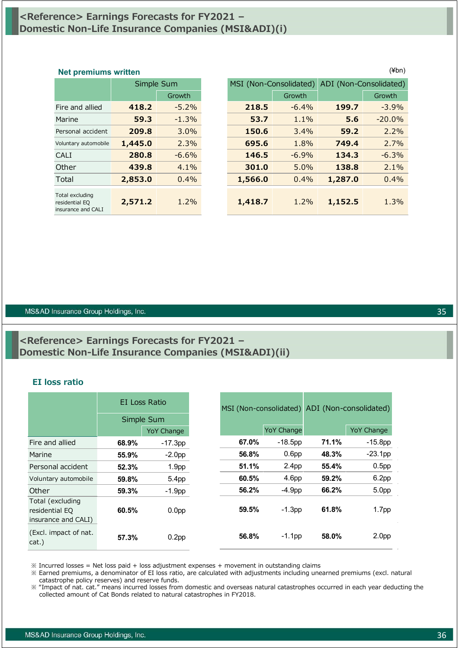## **<Reference> Earnings Forecasts for FY2021 – Domestic Non-Life Insurance Companies (MSI&ADI)(i)**

|                                                         | Simple Sum |          |  |
|---------------------------------------------------------|------------|----------|--|
|                                                         |            | Growth   |  |
| Fire and allied                                         | 418.2      | $-5.2\%$ |  |
| Marine                                                  | 59.3       | $-1.3%$  |  |
| Personal accident                                       | 209.8      | $3.0\%$  |  |
| Voluntary automobile                                    | 1,445.0    | 2.3%     |  |
| CALI                                                    | 280.8      | $-6.6%$  |  |
| Other                                                   | 439.8      | $4.1\%$  |  |
| Total                                                   | 2,853.0    | 0.4%     |  |
| Total excluding<br>residential EQ<br>insurance and CALI | 2,571.2    | $1.2\%$  |  |

| $(\n{Fbn})$<br><b>Net premiums written</b>              |         |            |  |                        |         |                        |          |
|---------------------------------------------------------|---------|------------|--|------------------------|---------|------------------------|----------|
|                                                         |         | Simple Sum |  | MSI (Non-Consolidated) |         | ADI (Non-Consolidated) |          |
|                                                         |         | Growth     |  |                        | Growth  |                        | Growth   |
| Fire and allied                                         | 418.2   | $-5.2%$    |  | 218.5                  | $-6.4%$ | 199.7                  | $-3.9%$  |
| Marine                                                  | 59.3    | $-1.3%$    |  | 53.7                   | 1.1%    | 5.6                    | $-20.0%$ |
| Personal accident                                       | 209.8   | 3.0%       |  | 150.6                  | 3.4%    | 59.2                   | 2.2%     |
| Voluntary automobile                                    | 1,445.0 | 2.3%       |  | 695.6                  | 1.8%    | 749.4                  | 2.7%     |
| <b>CALI</b>                                             | 280.8   | $-6.6%$    |  | 146.5                  | $-6.9%$ | 134.3                  | $-6.3%$  |
| Other                                                   | 439.8   | 4.1%       |  | 301.0                  | 5.0%    | 138.8                  | 2.1%     |
| Total                                                   | 2,853.0 | 0.4%       |  | 1,566.0                | 0.4%    | 1,287.0                | 0.4%     |
| Total excluding<br>residential EQ<br>insurance and CALI | 2,571.2 | 1.2%       |  | 1,418.7                | 1.2%    | 1,152.5                | 1.3%     |

#### MS&AD Insurance Group Holdings, Inc.

## **<Reference> Earnings Forecasts for FY2021 – Domestic Non-Life Insurance Companies (MSI&ADI)(ii)**

#### **EI loss ratio**

|                                                           | EI Loss Ratio<br>Simple Sum |                   |       | MSI (Non-consolidated) |       | ADI (Non-consolidated) |
|-----------------------------------------------------------|-----------------------------|-------------------|-------|------------------------|-------|------------------------|
|                                                           |                             | <b>YoY Change</b> |       | <b>YoY Change</b>      |       | <b>YoY Change</b>      |
| Fire and allied                                           | 68.9%                       | $-17.3pp$         | 67.0% | $-18.5$ pp             | 71.1% | $-15.8pp$              |
| Marine                                                    | 55.9%                       | $-2.0pp$          | 56.8% | 0.6 <sub>pp</sub>      | 48.3% | $-23.1$ pp             |
| Personal accident                                         | 52.3%                       | 1.9 <sub>pp</sub> | 51.1% | 2.4 <sub>pp</sub>      | 55.4% | 0.5 <sub>pp</sub>      |
| Voluntary automobile                                      | 59.8%                       | 5.4pp             | 60.5% | 4.6 <sub>pp</sub>      | 59.2% | 6.2 <sub>pp</sub>      |
| Other                                                     | 59.3%                       | $-1.9pp$          | 56.2% | $-4.9pp$               | 66.2% | 5.0pp                  |
| Total (excluding<br>residential EQ<br>insurance and CALI) | 60.5%                       | 0.0 <sub>pp</sub> | 59.5% | $-1.3$ pp              | 61.8% | 1.7 <sub>pp</sub>      |
| (Excl. impact of nat.<br>cat.)                            | 57.3%                       | 0.2 <sub>pp</sub> | 56.8% | $-1.1$ pp              | 58.0% | 2.0 <sub>pp</sub>      |

 $\%$  Incurred losses = Net loss paid + loss adjustment expenses + movement in outstanding claims

※ Earned premiums, a denominator of EI loss ratio, are calculated with adjustments including unearned premiums (excl. natural catastrophe policy reserves) and reserve funds.

※ "Impact of nat. cat." means incurred losses from domestic and overseas natural catastrophes occurred in each year deducting the collected amount of Cat Bonds related to natural catastrophes in FY2018.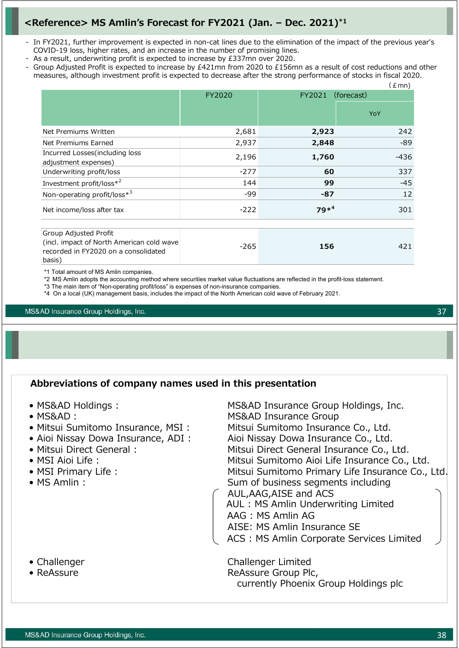# **<Reference> MS Amlin's Forecast for FY2021 (Jan. – Dec. 2021)\*1**

- In FY2021, further improvement is expected in non-cat lines due to the elimination of the impact of the previous year's COVID-19 loss, higher rates, and an increase in the number of promising lines.
- As a result, underwriting profit is expected to increase by £337mn over 2020.
- Group Adjusted Profit is expected to increase by £421mn from 2020 to £156mn as a result of cost reductions and other measures, although investment profit is expected to decrease after the strong performance of stocks in fiscal 2020.

|                                                                                                                      |        |         | (£ mn)     |
|----------------------------------------------------------------------------------------------------------------------|--------|---------|------------|
|                                                                                                                      | FY2020 | FY2021  | (forecast) |
|                                                                                                                      |        |         | YoY        |
| Net Premiums Written                                                                                                 | 2,681  | 2,923   | 242        |
| Net Premiums Earned                                                                                                  | 2,937  | 2,848   | -89        |
| Incurred Losses (including loss<br>adjustment expenses)                                                              | 2,196  | 1,760   | -436       |
| Underwriting profit/loss                                                                                             | $-277$ | 60      | 337        |
| Investment profit/loss*2                                                                                             | 144    | 99      | $-45$      |
| Non-operating profit/loss*3                                                                                          | -99    | $-87$   | 12         |
| Net income/loss after tax                                                                                            | $-222$ | $79*^4$ | 301        |
| Group Adjusted Profit<br>(incl. impact of North American cold wave<br>recorded in FY2020 on a consolidated<br>basis) | $-265$ | 156     | 421        |

\*1 Total amount of MS Amlin companies.

\*2 MS Amlin adopts the accounting method where securities market value fluctuations are reflected in the profit-loss statement.

\*3 The main item of "Non-operating profit/loss" is expenses of non-insurance companies.

\*4 On a local (UK) management basis, includes the impact of the North American cold wave of February 2021.

MS&AD Insurance Group Holdings, Inc.

### **Abbreviations of company names used in this presentation**

- MS&AD Holdings : MS&AD Insurance Group Holdings, Inc.
- 
- 
- 
- 
- 
- 
- 

• MS&AD︓ MS&AD Insurance Group • Mitsui Sumitomo Insurance, MSI : Mitsui Sumitomo Insurance Co., Ltd. • Aioi Nissay Dowa Insurance, ADI : Aioi Nissay Dowa Insurance Co., Ltd. • Mitsui Direct General : Mitsui Direct General Insurance Co., Ltd. • MSI Aioi Life : Mitsui Sumitomo Aioi Life Insurance Co., Ltd. • MSI Primary Life : Mitsui Sumitomo Primary Life Insurance Co., Ltd. • MS Amlin : Sum of business segments including AUL,AAG,AISE and ACS AUL : MS Amlin Underwriting Limited AAG : MS Amlin AG AISE: MS Amlin Insurance SE ACS : MS Amlin Corporate Services Limited

• Challenger **Challenger Challenger Limited** • ReAssure **Reassure Group Plc,** currently Phoenix Group Holdings plc